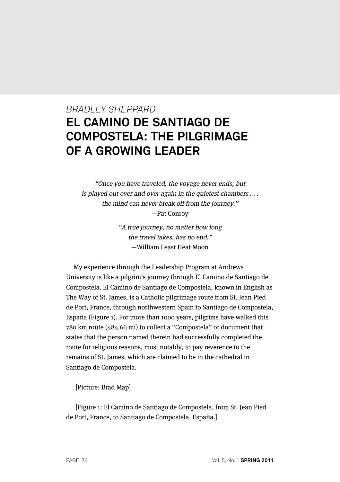# *BRADLEY SHEPPARD* **EL CAMINO DE SANTIAGO DE COMPOSTELA: THE PILGRIMAGE OF A GROWING LEADER**

"Once you have traveled, the voyage never ends, but is played out over and over again in the quietest chambers . . . the mind can never break off from the journey." —Pat Conroy

> "A true journey, no matter how long the travel takes, has no end." —William Least Heat Moon

My experience through the Leadership Program at Andrews University is like a pilgrim's journey through El Camino de Santiago de Compostela. El Camino de Santiago de Compostela, known in English as The Way of St. James, is a Catholic pilgrimage route from St. Jean Pied de Port, France, through northwestern Spain to Santiago de Compostela, España (Figure 1). For more than 1000 years, pilgrims have walked this 780 km route (484.66 mi) to collect a "Compostela" or document that states that the person named therein had successfully completed the route for religious reasons, most notably, to pay reverence to the remains of St. James, which are claimed to be in the cathedral in Santiago de Compostela.

[Picture: Brad Map]

[Figure 1: El Camino de Santiago de Compostela, from St. Jean Pied de Port, France, to Santiago de Compostela, España.]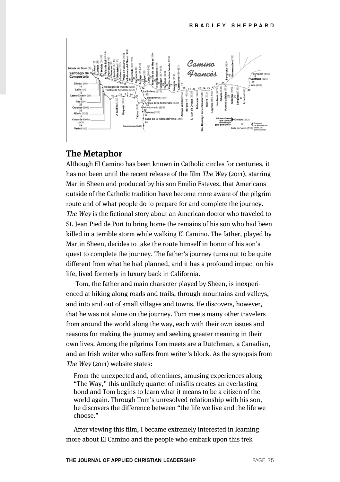

#### **The Metaphor**

Although El Camino has been known in Catholic circles for centuries, it has not been until the recent release of the film The Way (2011), starring Martin Sheen and produced by his son Emilio Estevez, that Americans outside of the Catholic tradition have become more aware of the pilgrim route and of what people do to prepare for and complete the journey. The Way is the fictional story about an American doctor who traveled to St. Jean Pied de Port to bring home the remains of his son who had been killed in a terrible storm while walking El Camino. The father, played by Martin Sheen, decides to take the route himself in honor of his son's quest to complete the journey. The father's journey turns out to be quite different from what he had planned, and it has a profound impact on his life, lived formerly in luxury back in California.

Tom, the father and main character played by Sheen, is inexperienced at hiking along roads and trails, through mountains and valleys, and into and out of small villages and towns. He discovers, however, that he was not alone on the journey. Tom meets many other travelers from around the world along the way, each with their own issues and reasons for making the journey and seeking greater meaning in their own lives. Among the pilgrims Tom meets are a Dutchman, a Canadian, and an Irish writer who suffers from writer's block. As the synopsis from The Way (2011) website states:

From the unexpected and, oftentimes, amusing experiences along "The Way," this unlikely quartet of misfits creates an everlasting bond and Tom begins to learn what it means to be a citizen of the world again. Through Tom's unresolved relationship with his son, he discovers the difference between "the life we live and the life we choose."

After viewing this film, I became extremely interested in learning more about El Camino and the people who embark upon this trek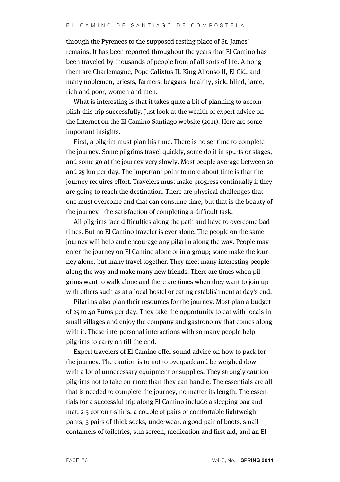through the Pyrenees to the supposed resting place of St. James' remains. It has been reported throughout the years that El Camino has been traveled by thousands of people from of all sorts of life. Among them are Charlemagne, Pope Calixtus II, King Alfonso II, El Cid, and many noblemen, priests, farmers, beggars, healthy, sick, blind, lame, rich and poor, women and men.

What is interesting is that it takes quite a bit of planning to accomplish this trip successfully. Just look at the wealth of expert advice on the Internet on the El Camino Santiago website (2011). Here are some important insights.

First, a pilgrim must plan his time. There is no set time to complete the journey. Some pilgrims travel quickly, some do it in spurts or stages, and some go at the journey very slowly. Most people average between 20 and 25 km per day. The important point to note about time is that the journey requires effort. Travelers must make progress continually if they are going to reach the destination. There are physical challenges that one must overcome and that can consume time, but that is the beauty of the journey—the satisfaction of completing a difficult task.

All pilgrims face difficulties along the path and have to overcome bad times. But no El Camino traveler is ever alone. The people on the same journey will help and encourage any pilgrim along the way. People may enter the journey on El Camino alone or in a group; some make the journey alone, but many travel together. They meet many interesting people along the way and make many new friends. There are times when pilgrims want to walk alone and there are times when they want to join up with others such as at a local hostel or eating establishment at day's end.

Pilgrims also plan their resources for the journey. Most plan a budget of 25 to 40 Euros per day. They take the opportunity to eat with locals in small villages and enjoy the company and gastronomy that comes along with it. These interpersonal interactions with so many people help pilgrims to carry on till the end.

Expert travelers of El Camino offer sound advice on how to pack for the journey. The caution is to not to overpack and be weighed down with a lot of unnecessary equipment or supplies. They strongly caution pilgrims not to take on more than they can handle. The essentials are all that is needed to complete the journey, no matter its length. The essentials for a successful trip along El Camino include a sleeping bag and mat, 2-3 cotton t-shirts, a couple of pairs of comfortable lightweight pants, 3 pairs of thick socks, underwear, a good pair of boots, small containers of toiletries, sun screen, medication and first aid, and an El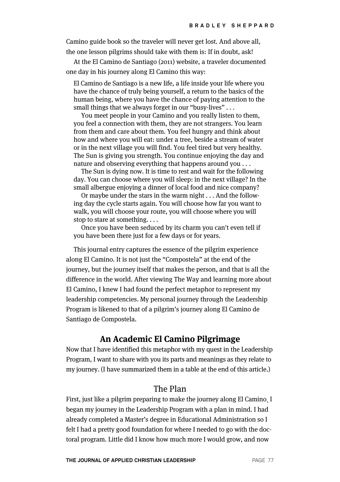Camino guide book so the traveler will never get lost. And above all, the one lesson pilgrims should take with them is: If in doubt, ask!

At the El Camino de Santiago (2011) website, a traveler documented one day in his journey along El Camino this way:

El Camino de Santiago is a new life, a life inside your life where you have the chance of truly being yourself, a return to the basics of the human being, where you have the chance of paying attention to the small things that we always forget in our "busy-lives" . . .

You meet people in your Camino and you really listen to them, you feel a connection with them, they are not strangers. You learn from them and care about them. You feel hungry and think about how and where you will eat: under a tree, beside a stream of water or in the next village you will find. You feel tired but very healthy. The Sun is giving you strength. You continue enjoying the day and nature and observing everything that happens around you . . .

The Sun is dying now. It is time to rest and wait for the following day. You can choose where you will sleep: in the next village? In the small albergue enjoying a dinner of local food and nice company?

Or maybe under the stars in the warm night . . . And the following day the cycle starts again. You will choose how far you want to walk, you will choose your route, you will choose where you will stop to stare at something. . . .

Once you have been seduced by its charm you can't even tell if you have been there just for a few days or for years.

This journal entry captures the essence of the pilgrim experience along El Camino. It is not just the "Compostela" at the end of the journey, but the journey itself that makes the person, and that is all the difference in the world. After viewing The Way and learning more about El Camino, I knew I had found the perfect metaphor to represent my leadership competencies. My personal journey through the Leadership Program is likened to that of a pilgrim's journey along El Camino de Santiago de Compostela.

#### **An Academic El Camino Pilgrimage**

Now that I have identified this metaphor with my quest in the Leadership Program, I want to share with you its parts and meanings as they relate to my journey. (I have summarized them in a table at the end of this article.)

# The Plan

First, just like a pilgrim preparing to make the journey along El Camino¸ I began my journey in the Leadership Program with a plan in mind. I had already completed a Master's degree in Educational Administration so I felt I had a pretty good foundation for where I needed to go with the doctoral program. Little did I know how much more I would grow, and now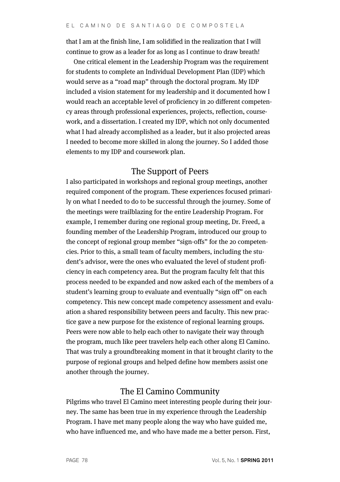that I am at the finish line, I am solidified in the realization that I will continue to grow as a leader for as long as I continue to draw breath!

One critical element in the Leadership Program was the requirement for students to complete an Individual Development Plan (IDP) which would serve as a "road map" through the doctoral program. My IDP included a vision statement for my leadership and it documented how I would reach an acceptable level of proficiency in 20 different competency areas through professional experiences, projects, reflection, coursework, and a dissertation. I created my IDP, which not only documented what I had already accomplished as a leader, but it also projected areas I needed to become more skilled in along the journey. So I added those elements to my IDP and coursework plan.

### The Support of Peers

I also participated in workshops and regional group meetings, another required component of the program. These experiences focused primarily on what I needed to do to be successful through the journey. Some of the meetings were trailblazing for the entire Leadership Program. For example, I remember during one regional group meeting, Dr. Freed, a founding member of the Leadership Program, introduced our group to the concept of regional group member "sign-offs" for the 20 competencies. Prior to this, a small team of faculty members, including the student's advisor, were the ones who evaluated the level of student proficiency in each competency area. But the program faculty felt that this process needed to be expanded and now asked each of the members of a student's learning group to evaluate and eventually "sign off" on each competency. This new concept made competency assessment and evaluation a shared responsibility between peers and faculty. This new practice gave a new purpose for the existence of regional learning groups. Peers were now able to help each other to navigate their way through the program, much like peer travelers help each other along El Camino. That was truly a groundbreaking moment in that it brought clarity to the purpose of regional groups and helped define how members assist one another through the journey.

## The El Camino Community

Pilgrims who travel El Camino meet interesting people during their journey. The same has been true in my experience through the Leadership Program. I have met many people along the way who have guided me, who have influenced me, and who have made me a better person. First,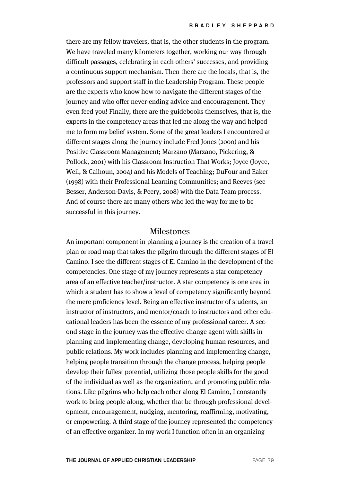there are my fellow travelers, that is, the other students in the program. We have traveled many kilometers together, working our way through difficult passages, celebrating in each others' successes, and providing a continuous support mechanism. Then there are the locals, that is, the professors and support staff in the Leadership Program. These people are the experts who know how to navigate the different stages of the journey and who offer never-ending advice and encouragement. They even feed you! Finally, there are the guidebooks themselves, that is, the experts in the competency areas that led me along the way and helped me to form my belief system. Some of the great leaders I encountered at different stages along the journey include Fred Jones (2000) and his Positive Classroom Management; Marzano (Marzano, Pickering, & Pollock, 2001) with his Classroom Instruction That Works; Joyce (Joyce, Weil, & Calhoun, 2004) and his Models of Teaching; DuFour and Eaker (1998) with their Professional Learning Communities; and Reeves (see Besser, Anderson-Davis, & Peery, 2008) with the Data Team process. And of course there are many others who led the way for me to be successful in this journey.

#### Milestones

An important component in planning a journey is the creation of a travel plan or road map that takes the pilgrim through the different stages of El Camino. I see the different stages of El Camino in the development of the competencies. One stage of my journey represents a star competency area of an effective teacher/instructor. A star competency is one area in which a student has to show a level of competency significantly beyond the mere proficiency level. Being an effective instructor of students, an instructor of instructors, and mentor/coach to instructors and other educational leaders has been the essence of my professional career. A second stage in the journey was the effective change agent with skills in planning and implementing change, developing human resources, and public relations. My work includes planning and implementing change, helping people transition through the change process, helping people develop their fullest potential, utilizing those people skills for the good of the individual as well as the organization, and promoting public relations. Like pilgrims who help each other along El Camino, I constantly work to bring people along, whether that be through professional development, encouragement, nudging, mentoring, reaffirming, motivating, or empowering. A third stage of the journey represented the competency of an effective organizer. In my work I function often in an organizing

**THE JOURNAL OF APPLIED CHRISTIAN LEADERSHIP PAGE 79**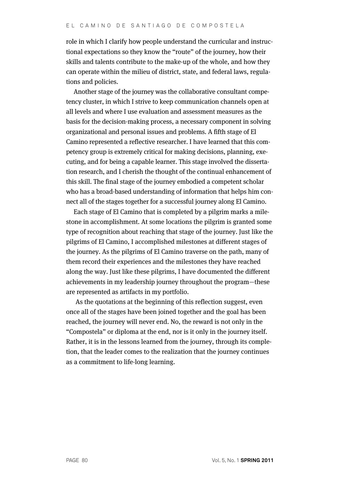role in which I clarify how people understand the curricular and instructional expectations so they know the "route" of the journey, how their skills and talents contribute to the make-up of the whole, and how they can operate within the milieu of district, state, and federal laws, regulations and policies.

Another stage of the journey was the collaborative consultant competency cluster, in which I strive to keep communication channels open at all levels and where I use evaluation and assessment measures as the basis for the decision-making process, a necessary component in solving organizational and personal issues and problems. A fifth stage of El Camino represented a reflective researcher. I have learned that this competency group is extremely critical for making decisions, planning, executing, and for being a capable learner. This stage involved the dissertation research, and I cherish the thought of the continual enhancement of this skill. The final stage of the journey embodied a competent scholar who has a broad-based understanding of information that helps him connect all of the stages together for a successful journey along El Camino.

Each stage of El Camino that is completed by a pilgrim marks a milestone in accomplishment. At some locations the pilgrim is granted some type of recognition about reaching that stage of the journey. Just like the pilgrims of El Camino, I accomplished milestones at different stages of the journey. As the pilgrims of El Camino traverse on the path, many of them record their experiences and the milestones they have reached along the way. Just like these pilgrims, I have documented the different achievements in my leadership journey throughout the program—these are represented as artifacts in my portfolio.

As the quotations at the beginning of this reflection suggest, even once all of the stages have been joined together and the goal has been reached, the journey will never end. No, the reward is not only in the "Compostela" or diploma at the end, nor is it only in the journey itself. Rather, it is in the lessons learned from the journey, through its completion, that the leader comes to the realization that the journey continues as a commitment to life-long learning.